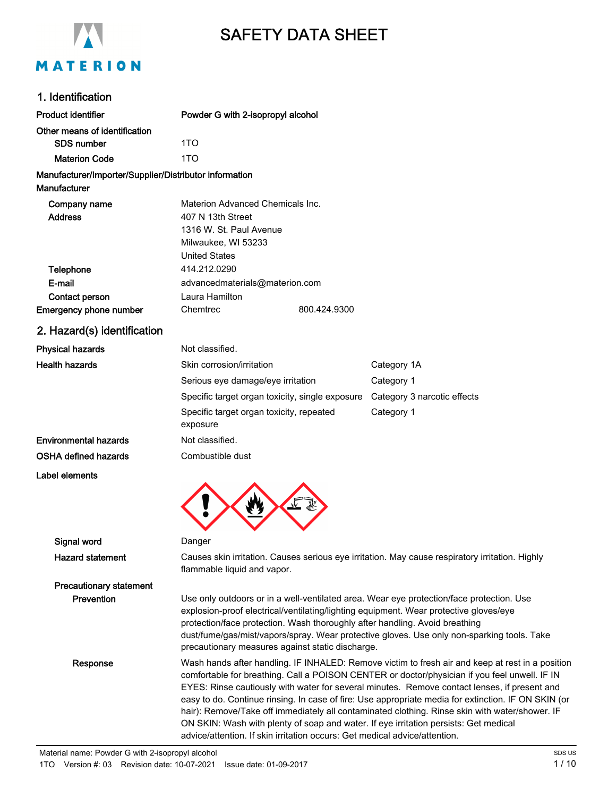

# SAFETY DATA SHEET

### 1. Identification

| ו ושטוווווימנוטו                                                       |                                                                                                                                                                                                                                                                                                                                                                                                                                                                                                                                                                                                    |                                                                                                                                                                                                                                                                                 |  |
|------------------------------------------------------------------------|----------------------------------------------------------------------------------------------------------------------------------------------------------------------------------------------------------------------------------------------------------------------------------------------------------------------------------------------------------------------------------------------------------------------------------------------------------------------------------------------------------------------------------------------------------------------------------------------------|---------------------------------------------------------------------------------------------------------------------------------------------------------------------------------------------------------------------------------------------------------------------------------|--|
| <b>Product identifier</b>                                              | Powder G with 2-isopropyl alcohol                                                                                                                                                                                                                                                                                                                                                                                                                                                                                                                                                                  |                                                                                                                                                                                                                                                                                 |  |
| Other means of identification                                          |                                                                                                                                                                                                                                                                                                                                                                                                                                                                                                                                                                                                    |                                                                                                                                                                                                                                                                                 |  |
| SDS number                                                             | 1TO                                                                                                                                                                                                                                                                                                                                                                                                                                                                                                                                                                                                |                                                                                                                                                                                                                                                                                 |  |
| <b>Materion Code</b>                                                   | 1TO                                                                                                                                                                                                                                                                                                                                                                                                                                                                                                                                                                                                |                                                                                                                                                                                                                                                                                 |  |
| Manufacturer/Importer/Supplier/Distributor information<br>Manufacturer |                                                                                                                                                                                                                                                                                                                                                                                                                                                                                                                                                                                                    |                                                                                                                                                                                                                                                                                 |  |
| Company name<br><b>Address</b><br><b>Telephone</b>                     | Materion Advanced Chemicals Inc.<br>407 N 13th Street<br>1316 W. St. Paul Avenue<br>Milwaukee, WI 53233<br><b>United States</b><br>414.212.0290                                                                                                                                                                                                                                                                                                                                                                                                                                                    |                                                                                                                                                                                                                                                                                 |  |
| E-mail                                                                 | advancedmaterials@materion.com                                                                                                                                                                                                                                                                                                                                                                                                                                                                                                                                                                     |                                                                                                                                                                                                                                                                                 |  |
| Contact person                                                         | Laura Hamilton                                                                                                                                                                                                                                                                                                                                                                                                                                                                                                                                                                                     |                                                                                                                                                                                                                                                                                 |  |
| Emergency phone number                                                 | Chemtrec<br>800.424.9300                                                                                                                                                                                                                                                                                                                                                                                                                                                                                                                                                                           |                                                                                                                                                                                                                                                                                 |  |
| 2. Hazard(s) identification                                            |                                                                                                                                                                                                                                                                                                                                                                                                                                                                                                                                                                                                    |                                                                                                                                                                                                                                                                                 |  |
| <b>Physical hazards</b>                                                | Not classified.                                                                                                                                                                                                                                                                                                                                                                                                                                                                                                                                                                                    |                                                                                                                                                                                                                                                                                 |  |
| <b>Health hazards</b>                                                  | Skin corrosion/irritation                                                                                                                                                                                                                                                                                                                                                                                                                                                                                                                                                                          | Category 1A                                                                                                                                                                                                                                                                     |  |
|                                                                        | Serious eye damage/eye irritation                                                                                                                                                                                                                                                                                                                                                                                                                                                                                                                                                                  | Category 1                                                                                                                                                                                                                                                                      |  |
|                                                                        | Specific target organ toxicity, single exposure                                                                                                                                                                                                                                                                                                                                                                                                                                                                                                                                                    | Category 3 narcotic effects                                                                                                                                                                                                                                                     |  |
|                                                                        | Specific target organ toxicity, repeated<br>exposure                                                                                                                                                                                                                                                                                                                                                                                                                                                                                                                                               | Category 1                                                                                                                                                                                                                                                                      |  |
| <b>Environmental hazards</b>                                           | Not classified.                                                                                                                                                                                                                                                                                                                                                                                                                                                                                                                                                                                    |                                                                                                                                                                                                                                                                                 |  |
| <b>OSHA defined hazards</b>                                            | Combustible dust                                                                                                                                                                                                                                                                                                                                                                                                                                                                                                                                                                                   |                                                                                                                                                                                                                                                                                 |  |
| Label elements                                                         |                                                                                                                                                                                                                                                                                                                                                                                                                                                                                                                                                                                                    |                                                                                                                                                                                                                                                                                 |  |
| Signal word                                                            | Danger                                                                                                                                                                                                                                                                                                                                                                                                                                                                                                                                                                                             |                                                                                                                                                                                                                                                                                 |  |
| <b>Hazard statement</b>                                                | Causes skin irritation. Causes serious eye irritation. May cause respiratory irritation. Highly<br>flammable liquid and vapor.                                                                                                                                                                                                                                                                                                                                                                                                                                                                     |                                                                                                                                                                                                                                                                                 |  |
| <b>Precautionary statement</b>                                         |                                                                                                                                                                                                                                                                                                                                                                                                                                                                                                                                                                                                    |                                                                                                                                                                                                                                                                                 |  |
| Prevention                                                             | protection/face protection. Wash thoroughly after handling. Avoid breathing<br>precautionary measures against static discharge.                                                                                                                                                                                                                                                                                                                                                                                                                                                                    | Use only outdoors or in a well-ventilated area. Wear eye protection/face protection. Use<br>explosion-proof electrical/ventilating/lighting equipment. Wear protective gloves/eye<br>dust/fume/gas/mist/vapors/spray. Wear protective gloves. Use only non-sparking tools. Take |  |
| Response                                                               | Wash hands after handling. IF INHALED: Remove victim to fresh air and keep at rest in a position<br>comfortable for breathing. Call a POISON CENTER or doctor/physician if you feel unwell. IF IN<br>EYES: Rinse cautiously with water for several minutes. Remove contact lenses, if present and<br>easy to do. Continue rinsing. In case of fire: Use appropriate media for extinction. IF ON SKIN (or<br>hair): Remove/Take off immediately all contaminated clothing. Rinse skin with water/shower. IF<br>ON SKIN: Wash with plenty of soap and water. If eye irritation persists: Get medical |                                                                                                                                                                                                                                                                                 |  |

advice/attention. If skin irritation occurs: Get medical advice/attention.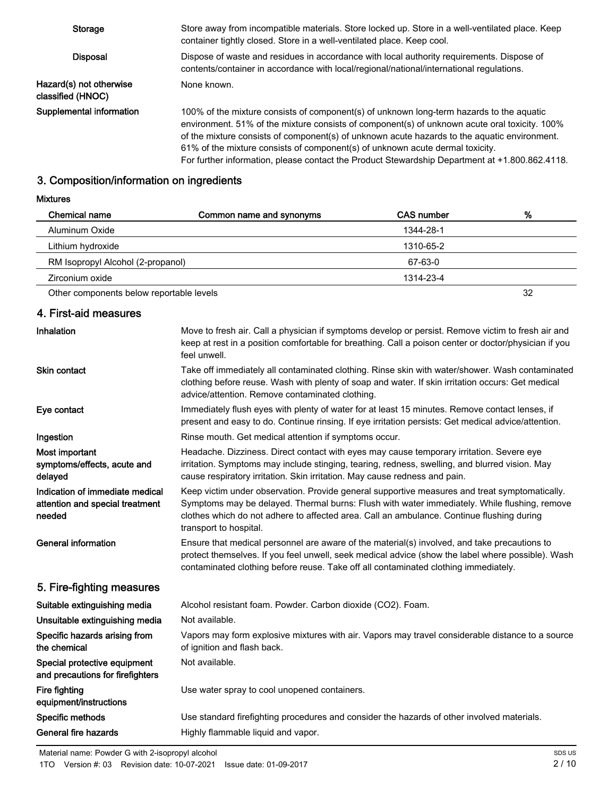| Storage                                       | Store away from incompatible materials. Store locked up. Store in a well-ventilated place. Keep<br>container tightly closed. Store in a well-ventilated place. Keep cool.                                                                                                                                                                                                                                                                                                    |
|-----------------------------------------------|------------------------------------------------------------------------------------------------------------------------------------------------------------------------------------------------------------------------------------------------------------------------------------------------------------------------------------------------------------------------------------------------------------------------------------------------------------------------------|
| <b>Disposal</b>                               | Dispose of waste and residues in accordance with local authority requirements. Dispose of<br>contents/container in accordance with local/regional/national/international regulations.                                                                                                                                                                                                                                                                                        |
| Hazard(s) not otherwise<br>classified (HNOC). | None known.                                                                                                                                                                                                                                                                                                                                                                                                                                                                  |
| Supplemental information                      | 100% of the mixture consists of component(s) of unknown long-term hazards to the aquatic<br>environment. 51% of the mixture consists of component(s) of unknown acute oral toxicity. 100%<br>of the mixture consists of component(s) of unknown acute hazards to the aquatic environment.<br>61% of the mixture consists of component(s) of unknown acute dermal toxicity.<br>For further information, please contact the Product Stewardship Department at +1.800.862.4118. |

## 3. Composition/information on ingredients

Mixtures

| <b>Chemical name</b>                     | Common name and synonyms | <b>CAS number</b> | %  |
|------------------------------------------|--------------------------|-------------------|----|
| Aluminum Oxide                           |                          | 1344-28-1         |    |
| Lithium hydroxide                        |                          | 1310-65-2         |    |
| RM Isopropyl Alcohol (2-propanol)        |                          | 67-63-0           |    |
| Zirconium oxide                          |                          | 1314-23-4         |    |
| Other components below reportable levels |                          |                   | 32 |

### 4. First-aid measures

| Inhalation                                                                   | Move to fresh air. Call a physician if symptoms develop or persist. Remove victim to fresh air and<br>keep at rest in a position comfortable for breathing. Call a poison center or doctor/physician if you<br>feel unwell.                                                                                          |
|------------------------------------------------------------------------------|----------------------------------------------------------------------------------------------------------------------------------------------------------------------------------------------------------------------------------------------------------------------------------------------------------------------|
| <b>Skin contact</b>                                                          | Take off immediately all contaminated clothing. Rinse skin with water/shower. Wash contaminated<br>clothing before reuse. Wash with plenty of soap and water. If skin irritation occurs: Get medical<br>advice/attention. Remove contaminated clothing.                                                              |
| Eye contact                                                                  | Immediately flush eyes with plenty of water for at least 15 minutes. Remove contact lenses, if<br>present and easy to do. Continue rinsing. If eye irritation persists: Get medical advice/attention.                                                                                                                |
| Ingestion                                                                    | Rinse mouth. Get medical attention if symptoms occur.                                                                                                                                                                                                                                                                |
| Most important<br>symptoms/effects, acute and<br>delayed                     | Headache. Dizziness. Direct contact with eyes may cause temporary irritation. Severe eye<br>irritation. Symptoms may include stinging, tearing, redness, swelling, and blurred vision. May<br>cause respiratory irritation. Skin irritation. May cause redness and pain.                                             |
| Indication of immediate medical<br>attention and special treatment<br>needed | Keep victim under observation. Provide general supportive measures and treat symptomatically.<br>Symptoms may be delayed. Thermal burns: Flush with water immediately. While flushing, remove<br>clothes which do not adhere to affected area. Call an ambulance. Continue flushing during<br>transport to hospital. |
| <b>General information</b>                                                   | Ensure that medical personnel are aware of the material(s) involved, and take precautions to<br>protect themselves. If you feel unwell, seek medical advice (show the label where possible). Wash<br>contaminated clothing before reuse. Take off all contaminated clothing immediately.                             |
| 5. Fire-fighting measures                                                    |                                                                                                                                                                                                                                                                                                                      |
| Suitable extinguishing media                                                 | Alcohol resistant foam. Powder. Carbon dioxide (CO2). Foam.                                                                                                                                                                                                                                                          |
| Unsuitable extinguishing media                                               | Not available.                                                                                                                                                                                                                                                                                                       |
| Specific hazards arising from<br>the chemical                                | Vapors may form explosive mixtures with air. Vapors may travel considerable distance to a source<br>of ignition and flash back.                                                                                                                                                                                      |
| Special protective equipment<br>and precautions for firefighters             | Not available.                                                                                                                                                                                                                                                                                                       |
| Fire fighting<br>equipment/instructions                                      | Use water spray to cool unopened containers.                                                                                                                                                                                                                                                                         |
| Specific methods                                                             | Use standard firefighting procedures and consider the hazards of other involved materials.                                                                                                                                                                                                                           |
| General fire hazards                                                         | Highly flammable liquid and vapor.                                                                                                                                                                                                                                                                                   |
|                                                                              |                                                                                                                                                                                                                                                                                                                      |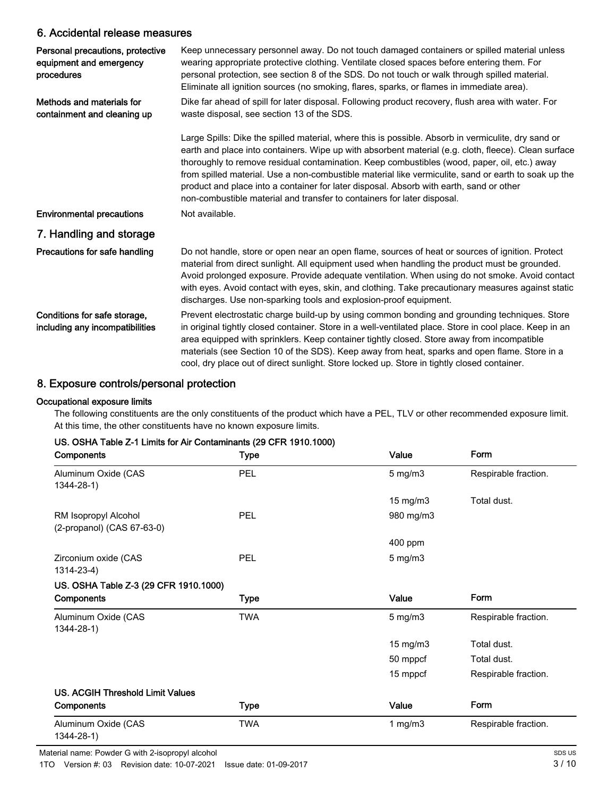### 6. Accidental release measures

| Personal precautions, protective<br>equipment and emergency<br>procedures | Keep unnecessary personnel away. Do not touch damaged containers or spilled material unless<br>wearing appropriate protective clothing. Ventilate closed spaces before entering them. For<br>personal protection, see section 8 of the SDS. Do not touch or walk through spilled material.<br>Eliminate all ignition sources (no smoking, flares, sparks, or flames in immediate area).                                                                                                                                                                                                   |
|---------------------------------------------------------------------------|-------------------------------------------------------------------------------------------------------------------------------------------------------------------------------------------------------------------------------------------------------------------------------------------------------------------------------------------------------------------------------------------------------------------------------------------------------------------------------------------------------------------------------------------------------------------------------------------|
| Methods and materials for<br>containment and cleaning up                  | Dike far ahead of spill for later disposal. Following product recovery, flush area with water. For<br>waste disposal, see section 13 of the SDS.                                                                                                                                                                                                                                                                                                                                                                                                                                          |
|                                                                           | Large Spills: Dike the spilled material, where this is possible. Absorb in vermiculite, dry sand or<br>earth and place into containers. Wipe up with absorbent material (e.g. cloth, fleece). Clean surface<br>thoroughly to remove residual contamination. Keep combustibles (wood, paper, oil, etc.) away<br>from spilled material. Use a non-combustible material like vermiculite, sand or earth to soak up the<br>product and place into a container for later disposal. Absorb with earth, sand or other<br>non-combustible material and transfer to containers for later disposal. |
| <b>Environmental precautions</b>                                          | Not available.                                                                                                                                                                                                                                                                                                                                                                                                                                                                                                                                                                            |
| 7. Handling and storage                                                   |                                                                                                                                                                                                                                                                                                                                                                                                                                                                                                                                                                                           |
| Precautions for safe handling                                             | Do not handle, store or open near an open flame, sources of heat or sources of ignition. Protect<br>material from direct sunlight. All equipment used when handling the product must be grounded.<br>Avoid prolonged exposure. Provide adequate ventilation. When using do not smoke. Avoid contact<br>with eyes. Avoid contact with eyes, skin, and clothing. Take precautionary measures against static<br>discharges. Use non-sparking tools and explosion-proof equipment.                                                                                                            |
| Conditions for safe storage,<br>including any incompatibilities           | Prevent electrostatic charge build-up by using common bonding and grounding techniques. Store<br>in original tightly closed container. Store in a well-ventilated place. Store in cool place. Keep in an<br>area equipped with sprinklers. Keep container tightly closed. Store away from incompatible<br>materials (see Section 10 of the SDS). Keep away from heat, sparks and open flame. Store in a<br>cool, dry place out of direct sunlight. Store locked up. Store in tightly closed container.                                                                                    |

### 8. Exposure controls/personal protection

#### Occupational exposure limits

The following constituents are the only constituents of the product which have a PEL, TLV or other recommended exposure limit. At this time, the other constituents have no known exposure limits.

| $\sim$ . Objet in Table 2-1 Ellillis for All Contaminaties (23 OFTV 1910, 1000)<br>Components | <b>Type</b> | Value             | Form                 |
|-----------------------------------------------------------------------------------------------|-------------|-------------------|----------------------|
| Aluminum Oxide (CAS<br>1344-28-1)                                                             | <b>PEL</b>  | $5$ mg/m $3$      | Respirable fraction. |
|                                                                                               |             | $15 \text{ mg/m}$ | Total dust.          |
| RM Isopropyl Alcohol<br>(2-propanol) (CAS 67-63-0)                                            | <b>PEL</b>  | 980 mg/m3         |                      |
|                                                                                               |             | 400 ppm           |                      |
| Zirconium oxide (CAS<br>$1314 - 23 - 4$                                                       | <b>PEL</b>  | $5 \text{ mg/m}$  |                      |
| US. OSHA Table Z-3 (29 CFR 1910.1000)                                                         |             |                   |                      |
| Components                                                                                    | Type        | Value             | Form                 |
| Aluminum Oxide (CAS<br>1344-28-1)                                                             | <b>TWA</b>  | $5 \text{ mg/m}$  | Respirable fraction. |
|                                                                                               |             | $15 \text{ mg/m}$ | Total dust.          |
|                                                                                               |             | 50 mppcf          | Total dust.          |
|                                                                                               |             | 15 mppcf          | Respirable fraction. |
| <b>US. ACGIH Threshold Limit Values</b>                                                       |             |                   |                      |
| Components                                                                                    | <b>Type</b> | Value             | Form                 |
| Aluminum Oxide (CAS<br>1344-28-1)                                                             | <b>TWA</b>  | 1 $mg/m3$         | Respirable fraction. |

US. OSHA Table Z-1 Limits for Air Contaminants (29 CFR 1910.1000)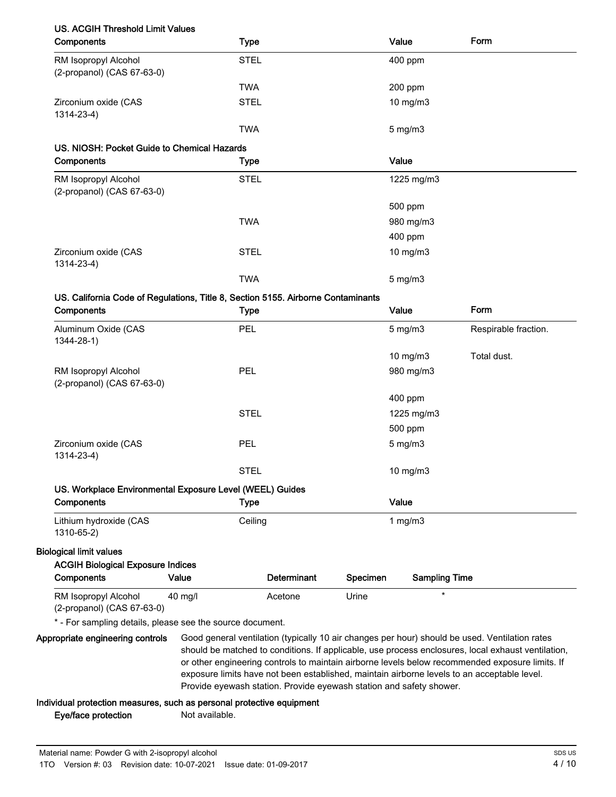### US. ACGIH Threshold Limit Values

| Components                                                                       | <b>Type</b> | Value         | Form                 |
|----------------------------------------------------------------------------------|-------------|---------------|----------------------|
| RM Isopropyl Alcohol<br>(2-propanol) (CAS 67-63-0)                               | <b>STEL</b> | 400 ppm       |                      |
|                                                                                  | <b>TWA</b>  | 200 ppm       |                      |
| Zirconium oxide (CAS<br>1314-23-4)                                               | <b>STEL</b> | $10$ mg/m $3$ |                      |
|                                                                                  | <b>TWA</b>  | $5$ mg/m $3$  |                      |
| US. NIOSH: Pocket Guide to Chemical Hazards                                      |             |               |                      |
| Components                                                                       | <b>Type</b> | Value         |                      |
| RM Isopropyl Alcohol<br>(2-propanol) (CAS 67-63-0)                               | <b>STEL</b> | 1225 mg/m3    |                      |
|                                                                                  |             | 500 ppm       |                      |
|                                                                                  | <b>TWA</b>  | 980 mg/m3     |                      |
|                                                                                  |             | 400 ppm       |                      |
| Zirconium oxide (CAS<br>1314-23-4)                                               | <b>STEL</b> | 10 mg/m3      |                      |
|                                                                                  | <b>TWA</b>  | $5$ mg/m $3$  |                      |
| US. California Code of Regulations, Title 8, Section 5155. Airborne Contaminants |             |               |                      |
| Components                                                                       | <b>Type</b> | Value         | Form                 |
| Aluminum Oxide (CAS<br>$1344 - 28 - 1$                                           | PEL         | $5$ mg/m $3$  | Respirable fraction. |
|                                                                                  |             | 10 mg/m3      | Total dust.          |
| RM Isopropyl Alcohol<br>(2-propanol) (CAS 67-63-0)                               | PEL         | 980 mg/m3     |                      |
|                                                                                  |             | 400 ppm       |                      |
|                                                                                  | <b>STEL</b> | 1225 mg/m3    |                      |
|                                                                                  |             | 500 ppm       |                      |
| Zirconium oxide (CAS<br>1314-23-4)                                               | PEL         | $5$ mg/m $3$  |                      |

#### US. Workplace Environmental Exposure Level (WEEL) Guides

| Components                           | <b>Type</b> | Value |
|--------------------------------------|-------------|-------|
| Lithium hydroxide (CAS<br>1310-65-2) | Ceiling     | mg/m3 |

STEL 10 mg/m3

#### Biological limit values

| <b>ACGIH Biological Exposure Indices</b>                                                |                   |             |          |               |
|-----------------------------------------------------------------------------------------|-------------------|-------------|----------|---------------|
| <b>Components</b>                                                                       | Value             | Determinant | Specimen | Sampling Time |
| RM Isopropyl Alcohol                                                                    | $40 \text{ mg/l}$ | Acetone     | Urine    |               |
| $\mathbf{A}$ $\mathbf{A}$ $\mathbf{A}$ $\mathbf{A}$ $\mathbf{A}$ $\mathbf{A}$<br>$\sim$ |                   |             |          |               |

```
(2-propanol) (CAS 67-63-0)
```
\* - For sampling details, please see the source document.

Good general ventilation (typically 10 air changes per hour) should be used. Ventilation rates should be matched to conditions. If applicable, use process enclosures, local exhaust ventilation, or other engineering controls to maintain airborne levels below recommended exposure limits. If exposure limits have not been established, maintain airborne levels to an acceptable level. Provide eyewash station. Provide eyewash station and safety shower. Appropriate engineering controls

#### Individual protection measures, such as personal protective equipment

Eye/face protection Not available.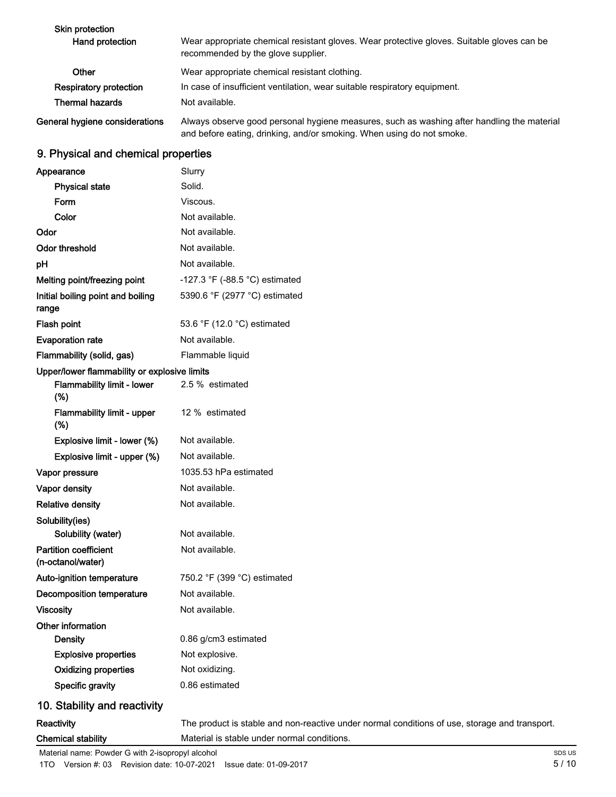| <b>Skin protection</b><br>Hand protection | Wear appropriate chemical resistant gloves. Wear protective gloves. Suitable gloves can be<br>recommended by the glove supplier.                                    |
|-------------------------------------------|---------------------------------------------------------------------------------------------------------------------------------------------------------------------|
| Other                                     | Wear appropriate chemical resistant clothing.                                                                                                                       |
| <b>Respiratory protection</b>             | In case of insufficient ventilation, wear suitable respiratory equipment.                                                                                           |
| Thermal hazards                           | Not available.                                                                                                                                                      |
| General hygiene considerations            | Always observe good personal hygiene measures, such as washing after handling the material<br>and before eating, drinking, and/or smoking. When using do not smoke. |

### 9. Physical and chemical properties

| Appearance                                        | Slurry                                                                                        |
|---------------------------------------------------|-----------------------------------------------------------------------------------------------|
| <b>Physical state</b>                             | Solid.                                                                                        |
| Form                                              | Viscous.                                                                                      |
| Color                                             | Not available.                                                                                |
| Odor                                              | Not available.                                                                                |
| Odor threshold                                    | Not available.                                                                                |
| pH                                                | Not available.                                                                                |
| Melting point/freezing point                      | -127.3 °F (-88.5 °C) estimated                                                                |
| Initial boiling point and boiling<br>range        | 5390.6 °F (2977 °C) estimated                                                                 |
| <b>Flash point</b>                                | 53.6 °F (12.0 °C) estimated                                                                   |
| <b>Evaporation rate</b>                           | Not available.                                                                                |
| Flammability (solid, gas)                         | Flammable liquid                                                                              |
| Upper/lower flammability or explosive limits      |                                                                                               |
| Flammability limit - lower<br>(%)                 | 2.5 % estimated                                                                               |
| Flammability limit - upper<br>(%)                 | 12 % estimated                                                                                |
| Explosive limit - lower (%)                       | Not available.                                                                                |
| Explosive limit - upper (%)                       | Not available.                                                                                |
| Vapor pressure                                    | 1035.53 hPa estimated                                                                         |
| Vapor density                                     | Not available.                                                                                |
| <b>Relative density</b>                           | Not available.                                                                                |
| Solubility(ies)<br>Solubility (water)             | Not available.                                                                                |
| <b>Partition coefficient</b><br>(n-octanol/water) | Not available.                                                                                |
| Auto-ignition temperature                         | 750.2 °F (399 °C) estimated                                                                   |
| <b>Decomposition temperature</b>                  | Not available.                                                                                |
| <b>Viscosity</b>                                  | Not available.                                                                                |
| Other information                                 |                                                                                               |
| Density                                           | 0.86 g/cm3 estimated                                                                          |
| <b>Explosive properties</b>                       | Not explosive.                                                                                |
| <b>Oxidizing properties</b>                       | Not oxidizing.                                                                                |
| Specific gravity                                  | 0.86 estimated                                                                                |
| 10. Stability and reactivity                      |                                                                                               |
| Reactivity                                        | The product is stable and non-reactive under normal conditions of use, storage and transport. |
| <b>Chemical stability</b>                         | Material is stable under normal conditions.                                                   |

Material name: Powder G with 2-isopropyl alcohol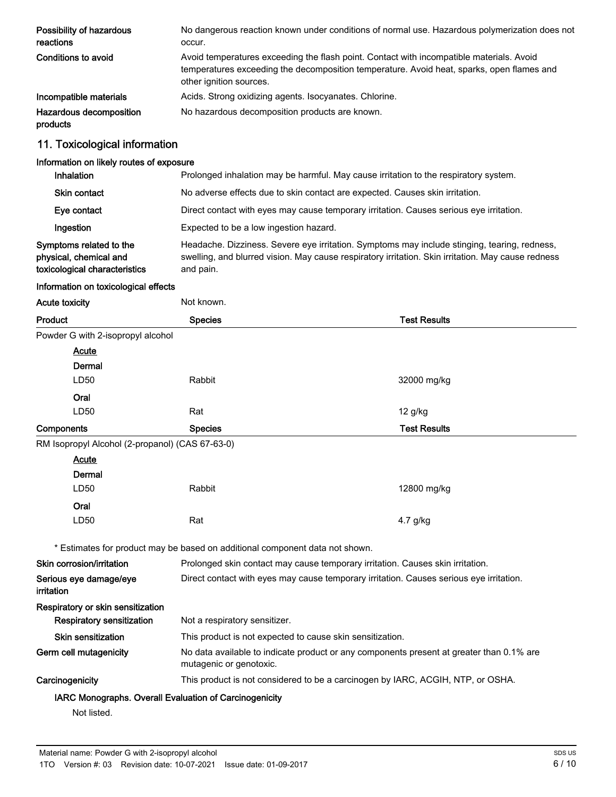| Possibility of hazardous<br>reactions | No dangerous reaction known under conditions of normal use. Hazardous polymerization does not<br>occur.                                                                                                          |
|---------------------------------------|------------------------------------------------------------------------------------------------------------------------------------------------------------------------------------------------------------------|
| Conditions to avoid                   | Avoid temperatures exceeding the flash point. Contact with incompatible materials. Avoid<br>temperatures exceeding the decomposition temperature. Avoid heat, sparks, open flames and<br>other ignition sources. |
| Incompatible materials                | Acids. Strong oxidizing agents. Isocyanates. Chlorine.                                                                                                                                                           |
| Hazardous decomposition<br>products   | No hazardous decomposition products are known.                                                                                                                                                                   |

### 11. Toxicological information

| Information on likely routes of exposure                                           |                                                                                                                                                                                                                 |  |  |
|------------------------------------------------------------------------------------|-----------------------------------------------------------------------------------------------------------------------------------------------------------------------------------------------------------------|--|--|
| <b>Inhalation</b>                                                                  | Prolonged inhalation may be harmful. May cause irritation to the respiratory system.                                                                                                                            |  |  |
| <b>Skin contact</b>                                                                | No adverse effects due to skin contact are expected. Causes skin irritation.                                                                                                                                    |  |  |
| Eye contact                                                                        | Direct contact with eyes may cause temporary irritation. Causes serious eye irritation.                                                                                                                         |  |  |
| Ingestion                                                                          | Expected to be a low ingestion hazard.                                                                                                                                                                          |  |  |
| Symptoms related to the<br>physical, chemical and<br>toxicological characteristics | Headache. Dizziness. Severe eye irritation. Symptoms may include stinging, tearing, redness,<br>swelling, and blurred vision. May cause respiratory irritation. Skin irritation. May cause redness<br>and pain. |  |  |

#### Information on toxicological effects

| <b>Acute toxicity</b>                           | Not known.                                                                                                          |                                                                                 |  |
|-------------------------------------------------|---------------------------------------------------------------------------------------------------------------------|---------------------------------------------------------------------------------|--|
| <b>Product</b>                                  | <b>Species</b>                                                                                                      | <b>Test Results</b>                                                             |  |
| Powder G with 2-isopropyl alcohol               |                                                                                                                     |                                                                                 |  |
| Acute                                           |                                                                                                                     |                                                                                 |  |
| Dermal                                          |                                                                                                                     |                                                                                 |  |
| LD50                                            | Rabbit                                                                                                              | 32000 mg/kg                                                                     |  |
| Oral                                            |                                                                                                                     |                                                                                 |  |
| LD50                                            | Rat                                                                                                                 | $12$ g/kg                                                                       |  |
| Components                                      | <b>Species</b>                                                                                                      | <b>Test Results</b>                                                             |  |
| RM Isopropyl Alcohol (2-propanol) (CAS 67-63-0) |                                                                                                                     |                                                                                 |  |
| <b>Acute</b>                                    |                                                                                                                     |                                                                                 |  |
| Dermal                                          |                                                                                                                     |                                                                                 |  |
| LD50                                            | Rabbit                                                                                                              | 12800 mg/kg                                                                     |  |
| Oral                                            |                                                                                                                     |                                                                                 |  |
| LD50                                            | Rat                                                                                                                 | 4.7 g/kg                                                                        |  |
|                                                 | * Estimates for product may be based on additional component data not shown.                                        |                                                                                 |  |
| Skin corrosion/irritation                       | Prolonged skin contact may cause temporary irritation. Causes skin irritation.                                      |                                                                                 |  |
| Serious eye damage/eye<br>irritation            | Direct contact with eyes may cause temporary irritation. Causes serious eye irritation.                             |                                                                                 |  |
| Respiratory or skin sensitization               |                                                                                                                     |                                                                                 |  |
| <b>Respiratory sensitization</b>                | Not a respiratory sensitizer.                                                                                       |                                                                                 |  |
| <b>Skin sensitization</b>                       | This product is not expected to cause skin sensitization.                                                           |                                                                                 |  |
| Germ cell mutagenicity                          | No data available to indicate product or any components present at greater than 0.1% are<br>mutagenic or genotoxic. |                                                                                 |  |
| Carcinogenicity                                 |                                                                                                                     | This product is not considered to be a carcinogen by IARC, ACGIH, NTP, or OSHA. |  |

### IARC Monographs. Overall Evaluation of Carcinogenicity

Not listed.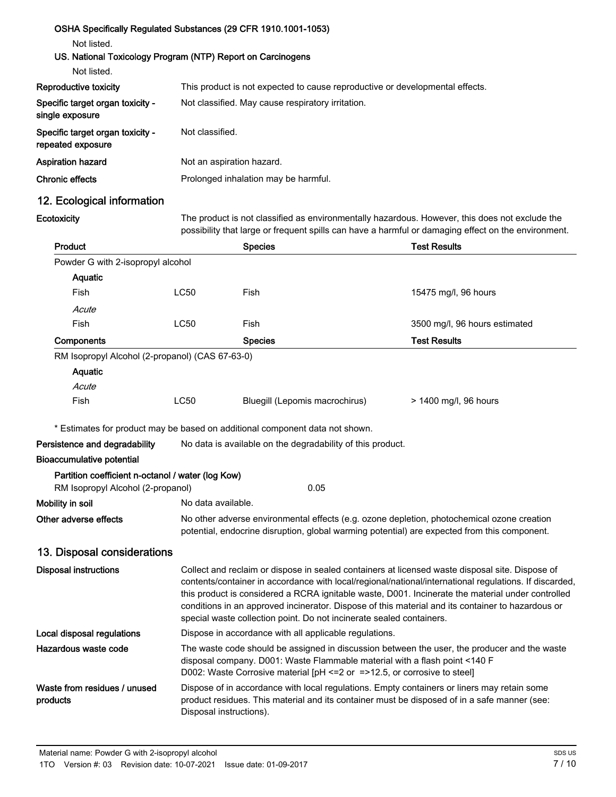### OSHA Specifically Regulated Substances (29 CFR 1910.1001-1053) Not listed. US. National Toxicology Program (NTP) Report on Carcinogens Not listed. Reproductive toxicity This product is not expected to cause reproductive or developmental effects. Specific target organ toxicity single exposure Not classified. May cause respiratory irritation. Specific target organ toxicity repeated exposure Not classified. Aspiration hazard Not an aspiration hazard. Chronic effects **Prolonged inhalation may be harmful.**

### 12. Ecological information

**Ecotoxicity** 

The product is not classified as environmentally hazardous. However, this does not exclude the possibility that large or frequent spills can have a harmful or damaging effect on the environment.

| Product                                                                                |                                                                                                                                                                                                                                                                                                                                                                                                                                                                                             | <b>Species</b>                                                                                                                                                                              | <b>Test Results</b>           |  |
|----------------------------------------------------------------------------------------|---------------------------------------------------------------------------------------------------------------------------------------------------------------------------------------------------------------------------------------------------------------------------------------------------------------------------------------------------------------------------------------------------------------------------------------------------------------------------------------------|---------------------------------------------------------------------------------------------------------------------------------------------------------------------------------------------|-------------------------------|--|
| Powder G with 2-isopropyl alcohol                                                      |                                                                                                                                                                                                                                                                                                                                                                                                                                                                                             |                                                                                                                                                                                             |                               |  |
| Aquatic                                                                                |                                                                                                                                                                                                                                                                                                                                                                                                                                                                                             |                                                                                                                                                                                             |                               |  |
| Fish                                                                                   | <b>LC50</b>                                                                                                                                                                                                                                                                                                                                                                                                                                                                                 | Fish                                                                                                                                                                                        | 15475 mg/l, 96 hours          |  |
| Acute                                                                                  |                                                                                                                                                                                                                                                                                                                                                                                                                                                                                             |                                                                                                                                                                                             |                               |  |
| Fish                                                                                   | <b>LC50</b>                                                                                                                                                                                                                                                                                                                                                                                                                                                                                 | Fish                                                                                                                                                                                        | 3500 mg/l, 96 hours estimated |  |
| Components                                                                             |                                                                                                                                                                                                                                                                                                                                                                                                                                                                                             | <b>Species</b>                                                                                                                                                                              | <b>Test Results</b>           |  |
| RM Isopropyl Alcohol (2-propanol) (CAS 67-63-0)                                        |                                                                                                                                                                                                                                                                                                                                                                                                                                                                                             |                                                                                                                                                                                             |                               |  |
| Aquatic                                                                                |                                                                                                                                                                                                                                                                                                                                                                                                                                                                                             |                                                                                                                                                                                             |                               |  |
| Acute                                                                                  |                                                                                                                                                                                                                                                                                                                                                                                                                                                                                             |                                                                                                                                                                                             |                               |  |
| Fish                                                                                   | <b>LC50</b>                                                                                                                                                                                                                                                                                                                                                                                                                                                                                 | Bluegill (Lepomis macrochirus)                                                                                                                                                              | > 1400 mg/l, 96 hours         |  |
|                                                                                        |                                                                                                                                                                                                                                                                                                                                                                                                                                                                                             | * Estimates for product may be based on additional component data not shown.                                                                                                                |                               |  |
| Persistence and degradability                                                          |                                                                                                                                                                                                                                                                                                                                                                                                                                                                                             | No data is available on the degradability of this product.                                                                                                                                  |                               |  |
| <b>Bioaccumulative potential</b>                                                       |                                                                                                                                                                                                                                                                                                                                                                                                                                                                                             |                                                                                                                                                                                             |                               |  |
| Partition coefficient n-octanol / water (log Kow)<br>RM Isopropyl Alcohol (2-propanol) |                                                                                                                                                                                                                                                                                                                                                                                                                                                                                             | 0.05                                                                                                                                                                                        |                               |  |
| Mobility in soil                                                                       | No data available.                                                                                                                                                                                                                                                                                                                                                                                                                                                                          |                                                                                                                                                                                             |                               |  |
| Other adverse effects                                                                  | No other adverse environmental effects (e.g. ozone depletion, photochemical ozone creation<br>potential, endocrine disruption, global warming potential) are expected from this component.                                                                                                                                                                                                                                                                                                  |                                                                                                                                                                                             |                               |  |
| 13. Disposal considerations                                                            |                                                                                                                                                                                                                                                                                                                                                                                                                                                                                             |                                                                                                                                                                                             |                               |  |
| <b>Disposal instructions</b>                                                           | Collect and reclaim or dispose in sealed containers at licensed waste disposal site. Dispose of<br>contents/container in accordance with local/regional/national/international regulations. If discarded,<br>this product is considered a RCRA ignitable waste, D001. Incinerate the material under controlled<br>conditions in an approved incinerator. Dispose of this material and its container to hazardous or<br>special waste collection point. Do not incinerate sealed containers. |                                                                                                                                                                                             |                               |  |
| Local disposal regulations                                                             | Dispose in accordance with all applicable regulations.                                                                                                                                                                                                                                                                                                                                                                                                                                      |                                                                                                                                                                                             |                               |  |
| Hazardous waste code                                                                   | The waste code should be assigned in discussion between the user, the producer and the waste<br>disposal company. D001: Waste Flammable material with a flash point <140 F<br>D002: Waste Corrosive material [pH <= 2 or = >12.5, or corrosive to steel]                                                                                                                                                                                                                                    |                                                                                                                                                                                             |                               |  |
| Waste from residues / unused<br>products                                               | Disposal instructions).                                                                                                                                                                                                                                                                                                                                                                                                                                                                     | Dispose of in accordance with local regulations. Empty containers or liners may retain some<br>product residues. This material and its container must be disposed of in a safe manner (see: |                               |  |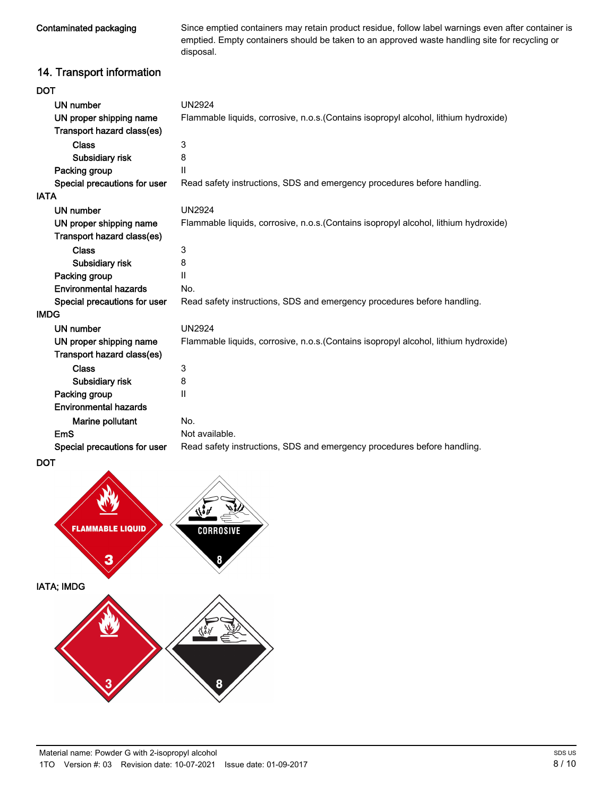Contaminated packaging

Since emptied containers may retain product residue, follow label warnings even after container is emptied. Empty containers should be taken to an approved waste handling site for recycling or disposal.

### 14. Transport information

| DOT                          |                                                                                      |
|------------------------------|--------------------------------------------------------------------------------------|
| UN number                    | <b>UN2924</b>                                                                        |
| UN proper shipping name      | Flammable liquids, corrosive, n.o.s. (Contains isopropyl alcohol, lithium hydroxide) |
| Transport hazard class(es)   |                                                                                      |
| <b>Class</b>                 | 3                                                                                    |
| Subsidiary risk              | 8                                                                                    |
| Packing group                | $\mathbf{H}$                                                                         |
| Special precautions for user | Read safety instructions, SDS and emergency procedures before handling.              |
| IATA                         |                                                                                      |
| <b>UN number</b>             | <b>UN2924</b>                                                                        |
| UN proper shipping name      | Flammable liquids, corrosive, n.o.s. (Contains isopropyl alcohol, lithium hydroxide) |
| Transport hazard class(es)   |                                                                                      |
| <b>Class</b>                 | 3                                                                                    |
| Subsidiary risk              | 8                                                                                    |
| Packing group                | $\mathbf{H}$                                                                         |
| <b>Environmental hazards</b> | No.                                                                                  |
| Special precautions for user | Read safety instructions, SDS and emergency procedures before handling.              |
| IMDG                         |                                                                                      |
| UN number                    | UN2924                                                                               |
| UN proper shipping name      | Flammable liquids, corrosive, n.o.s. (Contains isopropyl alcohol, lithium hydroxide) |
| Transport hazard class(es)   |                                                                                      |
| <b>Class</b>                 | 3                                                                                    |
| Subsidiary risk              | 8                                                                                    |
| Packing group                | Ш                                                                                    |
| <b>Environmental hazards</b> |                                                                                      |
| Marine pollutant             | No.                                                                                  |
| EmS                          | Not available.                                                                       |
| Special precautions for user | Read safety instructions, SDS and emergency procedures before handling.              |
|                              |                                                                                      |



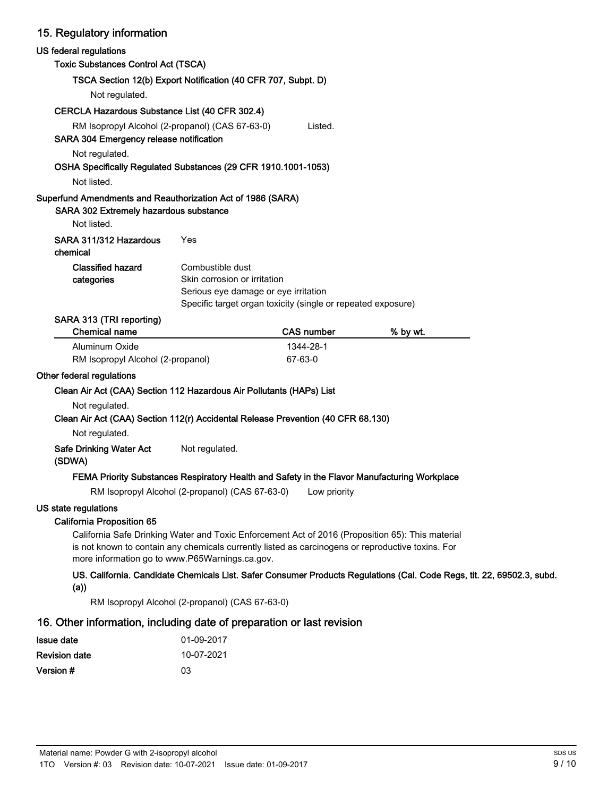### 15. Regulatory information

| US federal regulations                                                                                               |                                                                                                                                                          |                      |                                                                                                                        |  |
|----------------------------------------------------------------------------------------------------------------------|----------------------------------------------------------------------------------------------------------------------------------------------------------|----------------------|------------------------------------------------------------------------------------------------------------------------|--|
| <b>Toxic Substances Control Act (TSCA)</b>                                                                           |                                                                                                                                                          |                      |                                                                                                                        |  |
|                                                                                                                      | TSCA Section 12(b) Export Notification (40 CFR 707, Subpt. D)                                                                                            |                      |                                                                                                                        |  |
| Not regulated.                                                                                                       |                                                                                                                                                          |                      |                                                                                                                        |  |
| CERCLA Hazardous Substance List (40 CFR 302.4)                                                                       |                                                                                                                                                          |                      |                                                                                                                        |  |
| SARA 304 Emergency release notification                                                                              | RM Isopropyl Alcohol (2-propanol) (CAS 67-63-0)                                                                                                          | Listed.              |                                                                                                                        |  |
| Not regulated.<br>OSHA Specifically Regulated Substances (29 CFR 1910.1001-1053)                                     |                                                                                                                                                          |                      |                                                                                                                        |  |
| Not listed.                                                                                                          |                                                                                                                                                          |                      |                                                                                                                        |  |
| Superfund Amendments and Reauthorization Act of 1986 (SARA)<br>SARA 302 Extremely hazardous substance<br>Not listed. |                                                                                                                                                          |                      |                                                                                                                        |  |
| SARA 311/312 Hazardous<br>chemical                                                                                   | Yes                                                                                                                                                      |                      |                                                                                                                        |  |
| <b>Classified hazard</b><br>categories                                                                               | Combustible dust<br>Skin corrosion or irritation<br>Serious eye damage or eye irritation<br>Specific target organ toxicity (single or repeated exposure) |                      |                                                                                                                        |  |
| SARA 313 (TRI reporting)<br><b>Chemical name</b>                                                                     |                                                                                                                                                          | <b>CAS number</b>    | % by wt.                                                                                                               |  |
| Aluminum Oxide<br>RM Isopropyl Alcohol (2-propanol)                                                                  |                                                                                                                                                          | 1344-28-1<br>67-63-0 |                                                                                                                        |  |
| Other federal regulations                                                                                            |                                                                                                                                                          |                      |                                                                                                                        |  |
| Clean Air Act (CAA) Section 112 Hazardous Air Pollutants (HAPs) List                                                 |                                                                                                                                                          |                      |                                                                                                                        |  |
| Not regulated.<br>Clean Air Act (CAA) Section 112(r) Accidental Release Prevention (40 CFR 68.130)                   |                                                                                                                                                          |                      |                                                                                                                        |  |
| Not regulated.                                                                                                       |                                                                                                                                                          |                      |                                                                                                                        |  |
| Safe Drinking Water Act<br>(SDWA)                                                                                    | Not regulated.                                                                                                                                           |                      |                                                                                                                        |  |
|                                                                                                                      | FEMA Priority Substances Respiratory Health and Safety in the Flavor Manufacturing Workplace                                                             |                      |                                                                                                                        |  |
|                                                                                                                      | RM Isopropyl Alcohol (2-propanol) (CAS 67-63-0)                                                                                                          | Low priority         |                                                                                                                        |  |
| US state regulations<br><b>California Proposition 65</b>                                                             | California Safe Drinking Water and Toxic Enforcement Act of 2016 (Proposition 65): This material                                                         |                      |                                                                                                                        |  |
|                                                                                                                      | is not known to contain any chemicals currently listed as carcinogens or reproductive toxins. For<br>more information go to www.P65Warnings.ca.gov.      |                      |                                                                                                                        |  |
| (a)                                                                                                                  |                                                                                                                                                          |                      | US. California. Candidate Chemicals List. Safer Consumer Products Regulations (Cal. Code Regs, tit. 22, 69502.3, subd. |  |
|                                                                                                                      | RM Isopropyl Alcohol (2-propanol) (CAS 67-63-0)                                                                                                          |                      |                                                                                                                        |  |
| 16. Other information, including date of preparation or last revision                                                |                                                                                                                                                          |                      |                                                                                                                        |  |
| <b>Issue date</b>                                                                                                    | 01-09-2017                                                                                                                                               |                      |                                                                                                                        |  |

| <b>Revision date</b> | 10-07-2021 |
|----------------------|------------|
| Version #            | 03         |